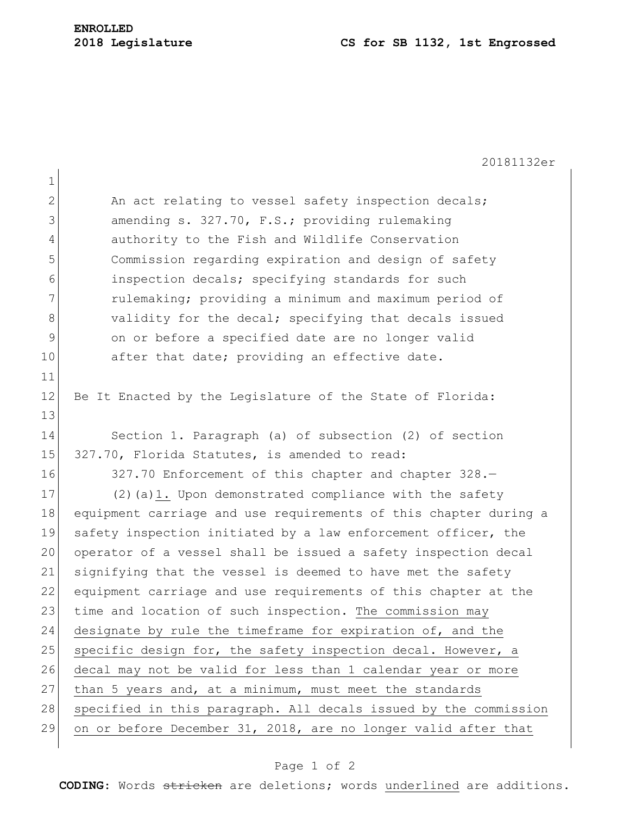## **2018 Legislature CS for SB 1132, 1st Engrossed**

20181132er 1 2 An act relating to vessel safety inspection decals; 3 amending s. 327.70, F.S.; providing rulemaking 4 authority to the Fish and Wildlife Conservation 5 **Commission regarding expiration and design of safety** 6 6 inspection decals; specifying standards for such 7 7 rulemaking; providing a minimum and maximum period of 8 validity for the decal; specifying that decals issued 9 on or before a specified date are no longer valid 10 after that date; providing an effective date. 11 12 Be It Enacted by the Legislature of the State of Florida: 13 14 Section 1. Paragraph (a) of subsection (2) of section 15 327.70, Florida Statutes, is amended to read: 16 327.70 Enforcement of this chapter and chapter 328.— 17 (2) (a) 1. Upon demonstrated compliance with the safety 18 equipment carriage and use requirements of this chapter during a 19 safety inspection initiated by a law enforcement officer, the 20 operator of a vessel shall be issued a safety inspection decal 21 signifying that the vessel is deemed to have met the safety 22 equipment carriage and use requirements of this chapter at the 23 time and location of such inspection. The commission may 24 designate by rule the timeframe for expiration of, and the 25 specific design for, the safety inspection decal. However, a 26 decal may not be valid for less than 1 calendar year or more 27 than 5 years and, at a minimum, must meet the standards 28 specified in this paragraph. All decals issued by the commission 29 on or before December 31, 2018, are no longer valid after that

## Page 1 of 2

**CODING**: Words stricken are deletions; words underlined are additions.